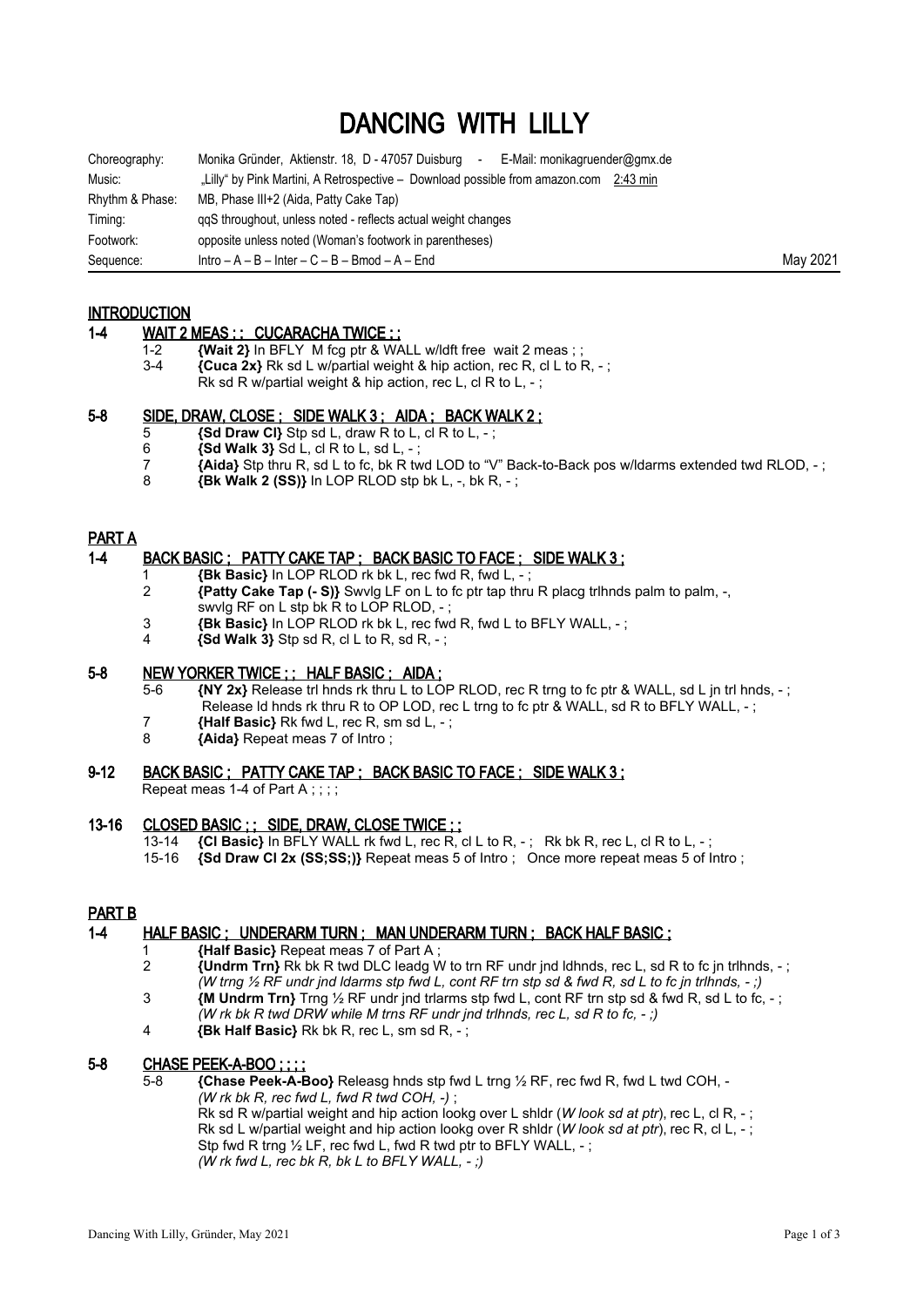# DANCING WITH LILLY

| Choreography:   | Monika Gründer, Aktienstr. 18, D - 47057 Duisburg<br>E-Mail: monikagruender@gmx.de<br>$\sim$ |          |
|-----------------|----------------------------------------------------------------------------------------------|----------|
| Music:          | "Lilly" by Pink Martini, A Retrospective – Download possible from amazon.com 2:43 min        |          |
| Rhythm & Phase: | MB, Phase III+2 (Aida, Patty Cake Tap)                                                       |          |
| Timing:         | ggS throughout, unless noted - reflects actual weight changes                                |          |
| Footwork:       | opposite unless noted (Woman's footwork in parentheses)                                      |          |
| Sequence:       | $Intro - A - B - Inter - C - B - Bmod - A - End$                                             | May 2021 |

## INTRODUCTION

#### 1-4 WAIT 2 MEAS ; ; CUCARACHA TWICE ; ;

- 1-2 **{Wait 2}** In BFLY M fcg ptr & WALL w/ldft free wait 2 meas ; ;<br>3-4 *Cuca 2x* Rk sd L w/partial weight & hip action, rec R, cl L to I
- **{Cuca 2x}** Rk sd L w/partial weight & hip action, rec R, cl L to R, -;
	- Rk sd R w/partial weight & hip action, rec L, cl R to L, ;

### 5-8 SIDE, DRAW, CLOSE ; SIDE WALK 3 ; AIDA ; BACK WALK 2 ;

- 5 **{Sd Draw Cl}** Stp sd L, draw R to L, cl R to L, ;
- 6 **{Sd Walk 3}** Sd L, cl R to L, sd L, ;
- **Fig. 3 {Aida}** Stp thru R, sd L to fc, bk R twd LOD to "V" Back-to-Back pos w/ldarms extended twd RLOD, ;<br>8 **Big Right Rest Rest SSI)** In LOP RLOD stp bk L. -. bk R. :
- 8 **{Bk Walk 2 (SS)}** In LOP RLOD stp bk L, -, bk R, ;

# PART A

### 1-4 BACK BASIC ; PATTY CAKE TAP ; BACK BASIC TO FACE ; SIDE WALK 3 ;

- 1 **{Bk Basic}** In LOP RLOD rk bk L, rec fwd R, fwd L, ;
- 2 **{Patty Cake Tap (- S)}** Swvlg LF on L to fc ptr tap thru R placg trlhnds palm to palm, -, swvlg RF on L stp bk R to LOP RLOD, -
- 3 **{Bk Basic}** In LOP RLOD rk bk L, rec fwd R, fwd L to BFLY WALL, ;
- 4 **{Sd Walk 3}** Stp sd R, cl L to R, sd R, ;

## 5-8 NEW YORKER TWICE ; ; HALF BASIC ; AIDA ;

- 5-6 **{NY 2x}** Release trl hnds rk thru L to LOP RLOD, rec R trng to fc ptr & WALL, sd L jn trl hnds, ; Release ld hnds rk thru R to OP LOD, rec L trng to fc ptr & WALL, sd R to BFLY WALL, - ;
- 7 **{Half Basic}** Rk fwd L, rec R, sm sd L, ;
- 8 **{Aida}** Repeat meas 7 of Intro ;

### 9-12 BACK BASIC ; PATTY CAKE TAP ; BACK BASIC TO FACE ; SIDE WALK 3 ;

Repeat meas 1-4 of Part A : : : :

# 13-16 CLOSED BASIC ; ; SIDE, DRAW, CLOSE TWICE ; ;<br>13-14 (CI Basic) In BFLY WALL rk fwd L, rec R,

- 13-14 **{Cl Basic}** In BFLY WALL rk fwd L, rec R, cl L to R, ; Rk bk R, rec L, cl R to L, ;
- 15-16 **{Sd Draw Cl 2x (SS;SS;)}** Repeat meas 5 of Intro ; Once more repeat meas 5 of Intro ;

#### PART B

# 1-4 HALF BASIC ; UNDERARM TURN ; MAN UNDERARM TURN ; BACK HALF BASIC ;

- 1 **{Half Basic}** Repeat meas 7 of Part A ;
	- 2 **{Undrm Trn}** Rk bk R twd DLC leadg W to trn RF undr jnd ldhnds, rec L, sd R to fc jn trlhnds, ; *(W trng ½ RF undr jnd ldarms stp fwd L, cont RF trn stp sd & fwd R, sd L to fc jn trlhnds, - ;)*
	- 3 **{M Undrm Trn}** Trng ½ RF undr jnd trlarms stp fwd L, cont RF trn stp sd & fwd R, sd L to fc, ; *(W rk bk R twd DRW while M trns RF undr jnd trlhnds, rec L, sd R to fc, - ;)*
	- 4 **{Bk Half Basic}** Rk bk R, rec L, sm sd R, ;

# 5-8 CHASE PEEK-A-BOO ; ; ; ;

5-8 **{Chase Peek-A-Boo}** Releasg hnds stp fwd L trng ½ RF, rec fwd R, fwd L twd COH, - *(W rk bk R, rec fwd L, fwd R twd COH, -)* ; Rk sd R w/partial weight and hip action lookg over L shldr (*W look sd at ptr*), rec L, cl R, - ; Rk sd L w/partial weight and hip action lookg over R shldr (*W look sd at ptr*), rec R, cl L, - ; Stp fwd R trng 1/2 LF, rec fwd L, fwd R twd ptr to BFLY WALL, -; *(W rk fwd L, rec bk R, bk L to BFLY WALL, - ;)*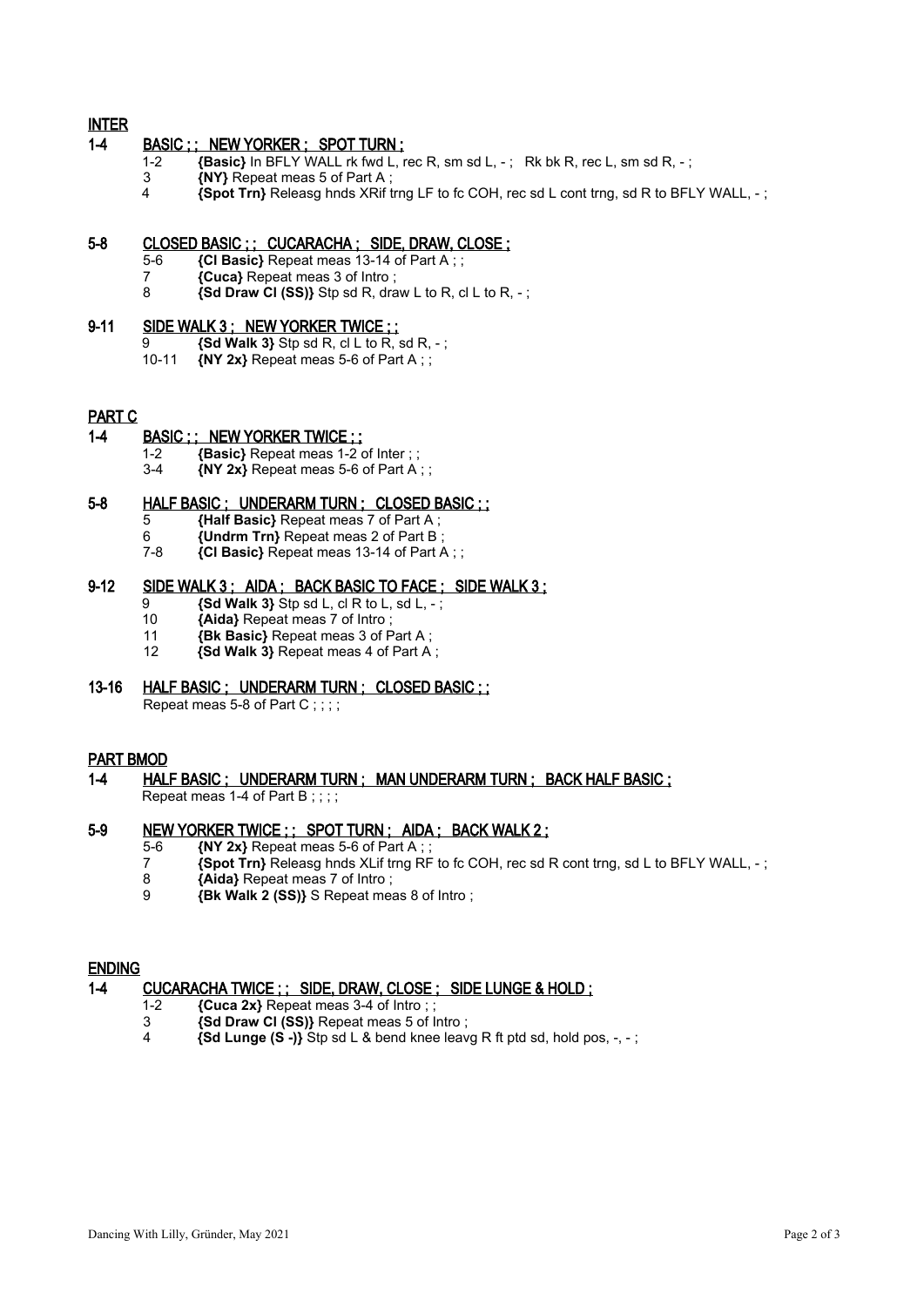# INTER

## 1-4 BASIC ;; NEW YORKER ; SPOT TURN ;

- 1-2 **{Basic}** In BFLY WALL rk fwd L, rec R, sm sd L, -; Rk bk R, rec L, sm sd R, -;
- 3 **{NY}** Repeat meas 5 of Part A ;<br>4 **Spot Trn** Release bods XRif t
- 4 **{Spot Trn}** Releasg hnds XRif trng LF to fc COH, rec sd L cont trng, sd R to BFLY WALL, ;

## 5-8 CLOSED BASIC ; ; CUCARACHA ; SIDE, DRAW, CLOSE ;

- 5-6 **{Cl Basic}** Repeat meas 13-14 of Part A ; ;
- 7 **{Cuca}** Repeat meas 3 of Intro ;
- 8 **{Sd Draw Cl (SS)}** Stp sd R, draw L to R, cl L to R, ;

# 9-11 SIDE WALK 3; NEW YORKER TWICE ;;

- 9 **{Sd Walk 3}** Stp sd R, cl L to R, sd R, -;<br>10-11 **{NY 2x}** Repeat meas 5-6 of Part A : :
- $\{NY 2x\}$  Repeat meas 5-6 of Part A ; ;

#### PART C

#### 1-4 BASIC ; ; NEW YORKER TWICE ; ;

- 1-2 **{Basic}** Repeat meas 1-2 of Inter ; ;
- 3-4 **{NY 2x}** Repeat meas 5-6 of Part A ; ;

# 5-8 HALF BASIC ; UNDERARM TURN ; CLOSED BASIC ; ;

- 5 **{Half Basic}** Repeat meas 7 of Part A ;
- 6 **{Undrm Trn}** Repeat meas 2 of Part B ;
- 7-8 **{Cl Basic}** Repeat meas 13-14 of Part A ; ;

## 9-12 SIDE WALK 3 ; AIDA ; BACK BASIC TO FACE ; SIDE WALK 3 ;

- $\overline{9}$  **{Sd Walk 3}** Stp sd L, cl R to L, sd L, -;<br>10 **{Aida}** Repeat meas 7 of Intro:
- 10 **{Aida}** Repeat meas 7 of Intro ;
- 11 **{Bk Basic}** Repeat meas 3 of Part A ;
- 12 **{Sd Walk 3}** Repeat meas 4 of Part A ;

# 13-16 HALF BASIC ; UNDERARM TURN ; CLOSED BASIC ; ;

Repeat meas 5-8 of Part C;;;;

#### PART BMOD

1-4 HALF BASIC ; UNDERARM TURN ; MAN UNDERARM TURN ; BACK HALF BASIC ; Repeat meas 1-4 of Part B;;;;

## 5-9 NEW YORKER TWICE ; ; SPOT TURN ; AIDA ; BACK WALK 2 ;

- 5-6 **{NY 2x}** Repeat meas 5-6 of Part A ;<br>7 **{Spot Trn}** Releaso bods XI if frng R
	- 7 **{Spot Trn}** Releasg hnds XLif trng RF to fc COH, rec sd R cont trng, sd L to BFLY WALL, ;
- 8 **{Aida}** Repeat meas 7 of Intro ;
- 9 **{Bk Walk 2 (SS)}** S Repeat meas 8 of Intro ;

#### ENDING

## 1-4 CUCARACHA TWICE ; ; SIDE, DRAW, CLOSE ; SIDE LUNGE & HOLD ;

- 1-2 **{Cuca 2x}** Repeat meas 3-4 of Intro ; ;
- 3 **{Sd Draw Cl (SS)}** Repeat meas 5 of Intro ;
- 4 **{Sd Lunge (S -)}** Stp sd L & bend knee leavg R ft ptd sd, hold pos, -, ;